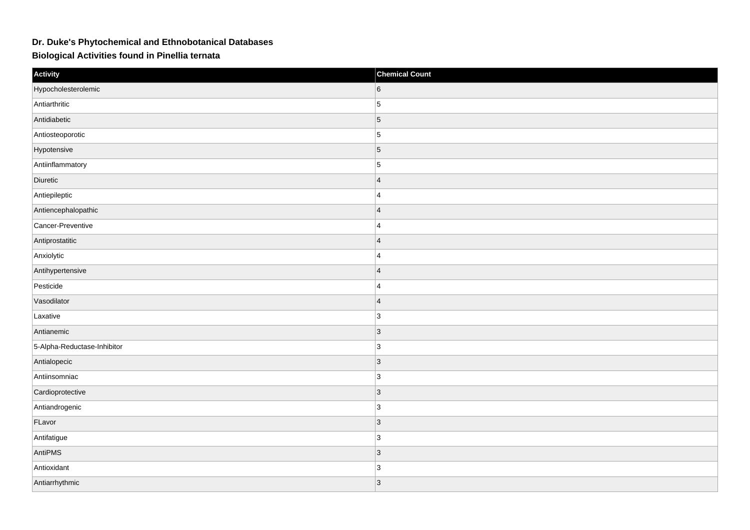## **Dr. Duke's Phytochemical and Ethnobotanical Databases**

**Biological Activities found in Pinellia ternata**

| Activity                    | <b>Chemical Count</b> |
|-----------------------------|-----------------------|
| Hypocholesterolemic         | 6                     |
| Antiarthritic               | 5                     |
| Antidiabetic                | $\vert$ 5             |
| Antiosteoporotic            | $\vert$ 5             |
| Hypotensive                 | $\vert$ 5             |
| Antiinflammatory            | $\overline{5}$        |
| Diuretic                    | $\overline{4}$        |
| Antiepileptic               | 4                     |
| Antiencephalopathic         | $\overline{4}$        |
| Cancer-Preventive           | $\overline{4}$        |
| Antiprostatitic             | $\overline{4}$        |
| Anxiolytic                  | $\overline{4}$        |
| Antihypertensive            | $\overline{4}$        |
| Pesticide                   | $\overline{4}$        |
| Vasodilator                 | $ 4\rangle$           |
| Laxative                    | 3                     |
| Antianemic                  | $ 3\rangle$           |
| 5-Alpha-Reductase-Inhibitor | 3                     |
| Antialopecic                | 3                     |
| Antiinsomniac               | 3                     |
| Cardioprotective            | 3                     |
| Antiandrogenic              | 3                     |
| FLavor                      | $ 3\rangle$           |
| Antifatigue                 | 3                     |
| AntiPMS                     | 3                     |
| Antioxidant                 | 3                     |
| Antiarrhythmic              | $ 3\rangle$           |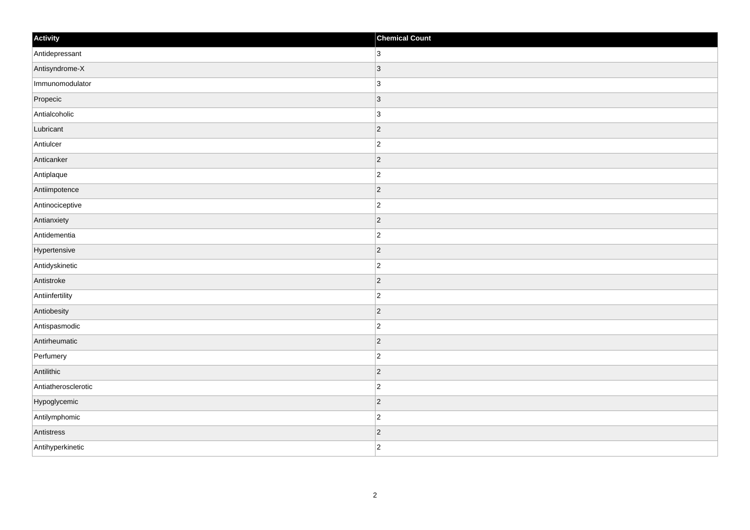| Activity            | <b>Chemical Count</b> |
|---------------------|-----------------------|
| Antidepressant      | $ 3\rangle$           |
| Antisyndrome-X      | $\vert$ 3             |
| Immunomodulator     | $ 3\rangle$           |
| Propecic            | $ 3\rangle$           |
| Antialcoholic       | $ 3\rangle$           |
| Lubricant           | $ 2\rangle$           |
| Antiulcer           | $ 2\rangle$           |
| Anticanker          | $ 2\rangle$           |
| Antiplaque          | $ 2\rangle$           |
| Antiimpotence       | $ 2\rangle$           |
| Antinociceptive     | $ 2\rangle$           |
| Antianxiety         | $ 2\rangle$           |
| Antidementia        | $ 2\rangle$           |
| Hypertensive        | $ 2\rangle$           |
| Antidyskinetic      | $\vert$ 2             |
| Antistroke          | $ 2\rangle$           |
| Antiinfertility     | $ 2\rangle$           |
| Antiobesity         | $ 2\rangle$           |
| Antispasmodic       | $ 2\rangle$           |
| Antirheumatic       | $ 2\rangle$           |
| Perfumery           | $\vert$ 2             |
| Antilithic          | $ 2\rangle$           |
| Antiatherosclerotic | $ 2\rangle$           |
| Hypoglycemic        | $ 2\rangle$           |
| Antilymphomic       | $ 2\rangle$           |
| Antistress          | $\vert$ 2             |
| Antihyperkinetic    | $ 2\rangle$           |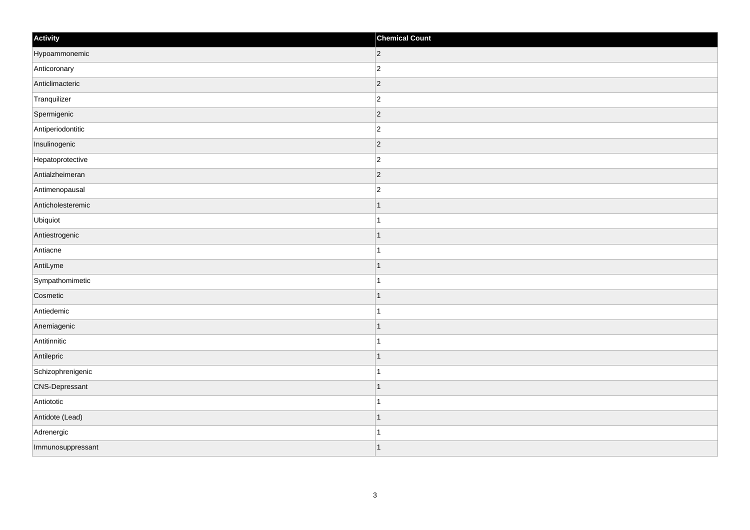| Activity              | <b>Chemical Count</b> |
|-----------------------|-----------------------|
| Hypoammonemic         | $ 2\rangle$           |
| Anticoronary          | $\overline{c}$        |
| Anticlimacteric       | $ 2\rangle$           |
| Tranquilizer          | $\overline{2}$        |
| Spermigenic           | $\overline{2}$        |
| Antiperiodontitic     | $ 2\rangle$           |
| Insulinogenic         | $ 2\rangle$           |
| Hepatoprotective      | $\overline{c}$        |
| Antialzheimeran       | 2                     |
| Antimenopausal        | $\overline{c}$        |
| Anticholesteremic     | $\mathbf 1$           |
| Ubiquiot              |                       |
| Antiestrogenic        | $\vert$ 1             |
| Antiacne              | $\overline{1}$        |
| AntiLyme              | $\mathbf 1$           |
| Sympathomimetic       | $\mathbf{1}$          |
| Cosmetic              |                       |
| Antiedemic            |                       |
| Anemiagenic           | $\mathbf{1}$          |
| Antitinnitic          | $\mathbf{1}$          |
| Antilepric            | $\mathbf 1$           |
| Schizophrenigenic     | $\mathbf{1}$          |
| <b>CNS-Depressant</b> | $\mathbf{1}$          |
| Antiototic            | 1                     |
| Antidote (Lead)       | $\vert$ 1             |
| Adrenergic            | $\mathbf 1$           |
| Immunosuppressant     | $\overline{1}$        |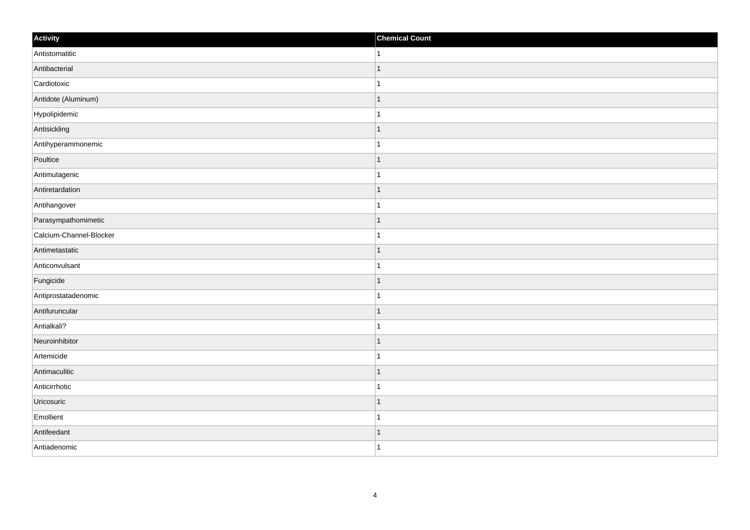| Activity                | <b>Chemical Count</b> |
|-------------------------|-----------------------|
| Antistomatitic          | $\vert$ 1             |
| Antibacterial           |                       |
| Cardiotoxic             |                       |
| Antidote (Aluminum)     | $\mathbf 1$           |
| Hypolipidemic           | $\mathbf{1}$          |
| Antisickling            |                       |
| Antihyperammonemic      | 1                     |
| Poultice                | $\mathbf 1$           |
| Antimutagenic           |                       |
| Antiretardation         | $\mathbf 1$           |
| Antihangover            | $\mathbf 1$           |
| Parasympathomimetic     | $\mathbf 1$           |
| Calcium-Channel-Blocker | 1                     |
| Antimetastatic          | $\mathbf 1$           |
| Anticonvulsant          |                       |
| Fungicide               | $\mathbf{1}$          |
| Antiprostatadenomic     | $\mathbf 1$           |
| Antifuruncular          | $\mathbf 1$           |
| Antialkali?             | 1                     |
| Neuroinhibitor          | 1                     |
| Artemicide              | $\overline{1}$        |
| Antimaculitic           | $\mathbf 1$           |
| Anticirrhotic           | 1                     |
| Uricosuric              | $\overline{1}$        |
| Emollient               | $\overline{1}$        |
| Antifeedant             | 1                     |
| Antiadenomic            | $\overline{1}$        |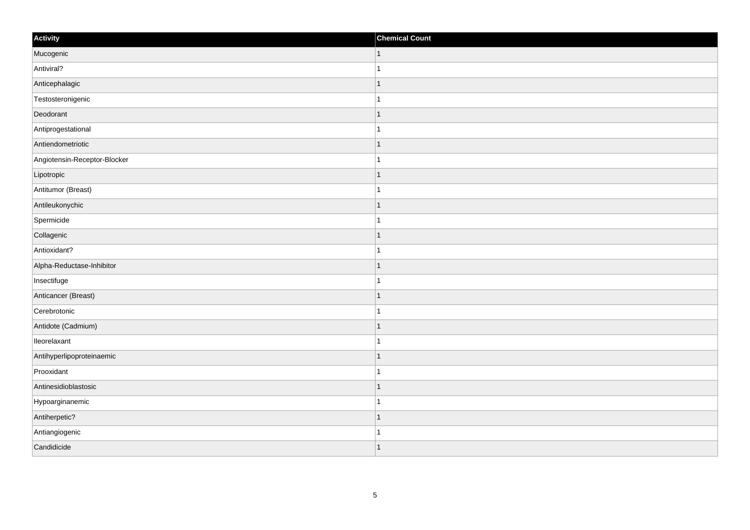| Activity                     | <b>Chemical Count</b> |
|------------------------------|-----------------------|
| Mucogenic                    | $\vert$ 1             |
| Antiviral?                   |                       |
| Anticephalagic               |                       |
| Testosteronigenic            |                       |
| Deodorant                    |                       |
| Antiprogestational           |                       |
| Antiendometriotic            |                       |
| Angiotensin-Receptor-Blocker | 1                     |
| Lipotropic                   |                       |
| Antitumor (Breast)           |                       |
| Antileukonychic              |                       |
| Spermicide                   |                       |
| Collagenic                   | -1                    |
| Antioxidant?                 |                       |
| Alpha-Reductase-Inhibitor    |                       |
| Insectifuge                  |                       |
| Anticancer (Breast)          |                       |
| Cerebrotonic                 |                       |
| Antidote (Cadmium)           | -1                    |
| lleorelaxant                 |                       |
| Antihyperlipoproteinaemic    |                       |
| Prooxidant                   |                       |
| Antinesidioblastosic         |                       |
| Hypoarginanemic              |                       |
| Antiherpetic?                |                       |
| Antiangiogenic               |                       |
| Candidicide                  |                       |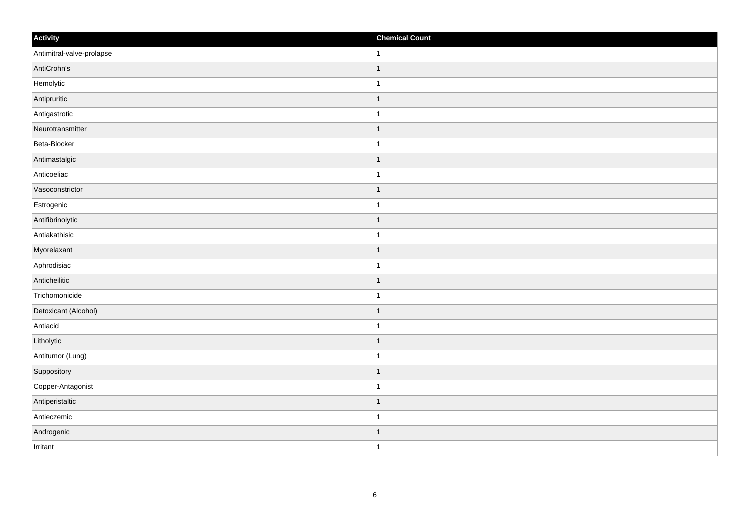| Activity                  | <b>Chemical Count</b> |
|---------------------------|-----------------------|
| Antimitral-valve-prolapse | $\vert$ 1             |
| AntiCrohn's               | $\mathbf{1}$          |
| Hemolytic                 |                       |
| Antipruritic              | $\mathbf{1}$          |
| Antigastrotic             | $\overline{1}$        |
| Neurotransmitter          | -1                    |
| Beta-Blocker              | 1                     |
| Antimastalgic             | $\overline{1}$        |
| Anticoeliac               |                       |
| Vasoconstrictor           | $\vert$ 1             |
| Estrogenic                | $\mathbf{1}$          |
| Antifibrinolytic          | $\mathbf 1$           |
| Antiakathisic             | $\mathbf{1}$          |
| Myorelaxant               | -1                    |
| Aphrodisiac               | 1                     |
| Anticheilitic             | $\vert$ 1             |
| Trichomonicide            | $\mathbf{1}$          |
| Detoxicant (Alcohol)      | $\mathbf 1$           |
| Antiacid                  | 1                     |
| Litholytic                | 1                     |
| Antitumor (Lung)          | $\overline{1}$        |
| Suppository               | $\mathbf{1}$          |
| Copper-Antagonist         | 1                     |
| Antiperistaltic           | $\mathbf 1$           |
| Antieczemic               | $\mathbf{1}$          |
| Androgenic                | $\vert$ 1             |
| Irritant                  | $\overline{1}$        |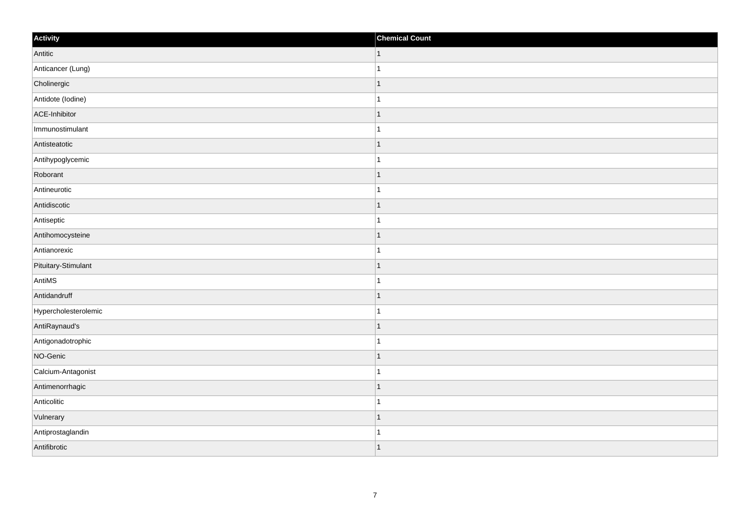| Activity             | <b>Chemical Count</b> |
|----------------------|-----------------------|
| Antitic              | $\vert$ 1             |
| Anticancer (Lung)    | $\mathbf{1}$          |
| Cholinergic          | $\overline{1}$        |
| Antidote (lodine)    | $\mathbf{1}$          |
| ACE-Inhibitor        | $\overline{1}$        |
| Immunostimulant      | $\overline{1}$        |
| Antisteatotic        | $\mathbf{1}$          |
| Antihypoglycemic     | $\mathbf{1}$          |
| Roborant             | $\overline{1}$        |
| Antineurotic         | $\mathbf{1}$          |
| Antidiscotic         | $\overline{1}$        |
| Antiseptic           | $\overline{1}$        |
| Antihomocysteine     | $\vert$ 1             |
| Antianorexic         | $\mathbf{1}$          |
| Pituitary-Stimulant  | $\overline{1}$        |
| AntiMS               | $\mathbf{1}$          |
| Antidandruff         | $\overline{1}$        |
| Hypercholesterolemic | $\overline{1}$        |
| AntiRaynaud's        | $\vert$ 1             |
| Antigonadotrophic    | $\mathbf{1}$          |
| NO-Genic             | $\overline{1}$        |
| Calcium-Antagonist   | $\mathbf{1}$          |
| Antimenorrhagic      | $\mathbf{1}$          |
| Anticolitic          | $\mathbf{1}$          |
| Vulnerary            | $\overline{1}$        |
| Antiprostaglandin    | $\mathbf{1}$          |
| Antifibrotic         | $\mathbf{1}$          |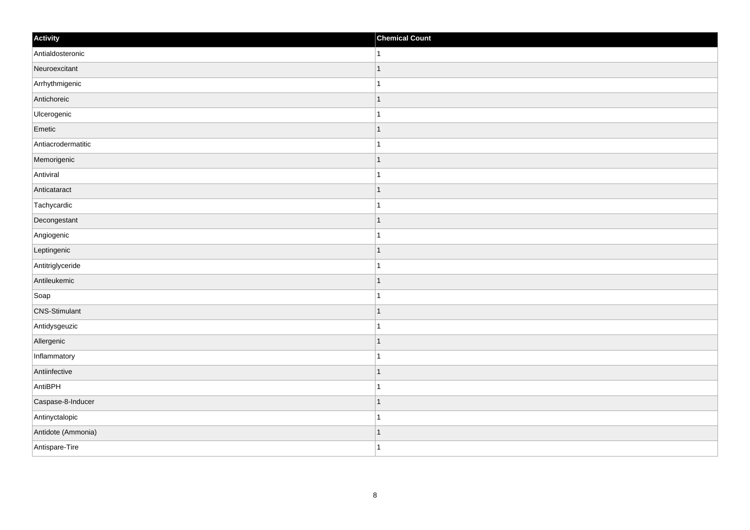| Activity             | <b>Chemical Count</b>    |
|----------------------|--------------------------|
| Antialdosteronic     | 1                        |
| Neuroexcitant        |                          |
| Arrhythmigenic       |                          |
| Antichoreic          | 1                        |
| Ulcerogenic          | 1                        |
| Emetic               |                          |
| Antiacrodermatitic   |                          |
| Memorigenic          | -1                       |
| Antiviral            |                          |
| Anticataract         | -1                       |
| Tachycardic          | 1                        |
| Decongestant         |                          |
| Angiogenic           |                          |
| Leptingenic          |                          |
| Antitriglyceride     |                          |
| Antileukemic         | 1                        |
| Soap                 | 1                        |
| <b>CNS-Stimulant</b> | ٠                        |
| Antidysgeuzic        |                          |
| Allergenic           | $\overline{\phantom{a}}$ |
| Inflammatory         |                          |
| Antiinfective        | 1                        |
| AntiBPH              | 1                        |
| Caspase-8-Inducer    |                          |
| Antinyctalopic       |                          |
| Antidote (Ammonia)   | -1                       |
| Antispare-Tire       | -1                       |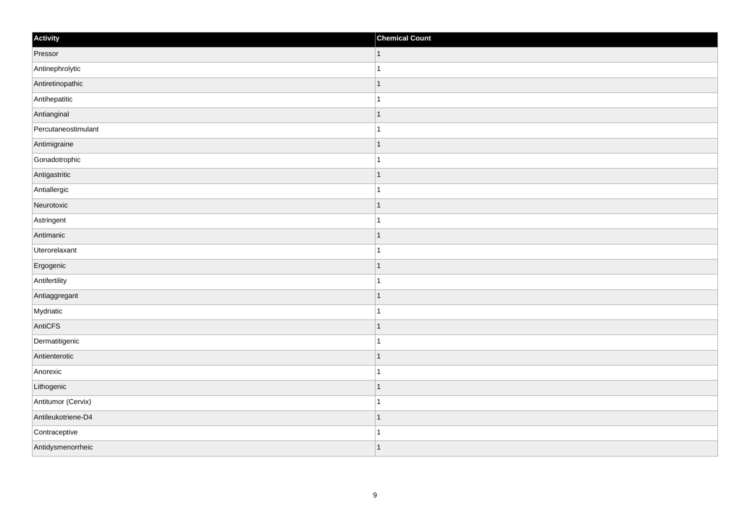| Activity            | <b>Chemical Count</b>    |
|---------------------|--------------------------|
| Pressor             | $\vert$ 1                |
| Antinephrolytic     |                          |
| Antiretinopathic    | -1                       |
| Antihepatitic       |                          |
| Antianginal         |                          |
| Percutaneostimulant |                          |
| Antimigraine        | ∣ 1                      |
| Gonadotrophic       | 1                        |
| Antigastritic       | $\overline{\phantom{a}}$ |
| Antiallergic        |                          |
| Neurotoxic          | $\overline{\phantom{a}}$ |
| Astringent          |                          |
| Antimanic           | ∣ 1                      |
| Uterorelaxant       | 1                        |
| Ergogenic           | 1                        |
| Antifertility       |                          |
| Antiaggregant       |                          |
| Mydriatic           |                          |
| AntiCFS             | ∣ 1                      |
| Dermatitigenic      | $\mathbf{1}$             |
| Antienterotic       |                          |
| Anorexic            |                          |
| Lithogenic          |                          |
| Antitumor (Cervix)  |                          |
| Antileukotriene-D4  | $\overline{\phantom{a}}$ |
| Contraceptive       | -1                       |
| Antidysmenorrheic   | 1                        |